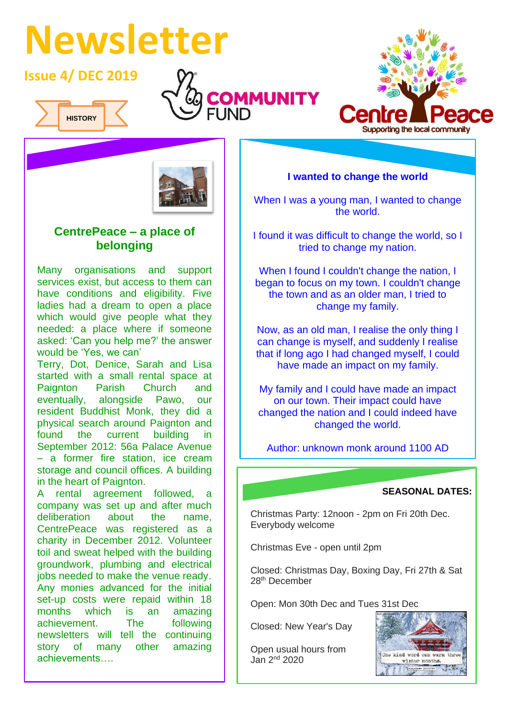# **Newsletter**

## **Issue 4/ DEC 2019**



I







### **CentrePeace – a place of belonging**

Many organisations and support services exist, but access to them can have conditions and eligibility. Five ladies had a dream to open a place which would give people what they needed: a place where if someone asked: 'Can you help me?' the answer would be 'Yes, we can'

Terry, Dot, Denice, Sarah and Lisa started with a small rental space at Paignton Parish Church and eventually, alongside Pawo, our resident Buddhist Monk, they did a physical search around Paignton and found the current building in September 2012: 56a Palace Avenue – a former fire station, ice cream storage and council offices. A building in the heart of Paignton.

A rental agreement followed, a company was set up and after much deliberation about the name, CentrePeace was registered as a charity in December 2012. Volunteer toil and sweat helped with the building groundwork, plumbing and electrical jobs needed to make the venue ready. Any monies advanced for the initial set-up costs were repaid within 18 months which is an amazing achievement. The following newsletters will tell the continuing story of many other amazing achievements….

**I wanted to change the world**

When I was a young man, I wanted to change the world.

I found it was difficult to change the world, so I tried to change my nation.

When I found I couldn't change the nation, I began to focus on my town. I couldn't change the town and as an older man, I tried to change my family.

Now, as an old man, I realise the only thing I can change is myself, and suddenly I realise that if long ago I had changed myself, I could have made an impact on my family.

My family and I could have made an impact on our town. Their impact could have changed the nation and I could indeed have changed the world.

Author: unknown monk around 1100 AD

#### **SEASONAL DATES:**

Christmas Party: 12noon - 2pm on Fri 20th Dec. Everybody welcome

Christmas Eve - open until 2pm

Closed: Christmas Day, Boxing Day, Fri 27th & Sat 28<sup>th</sup> December

Open: Mon 30th Dec and Tues 31st Dec

Closed: New Year's Day

Open usual hours from Jan  $2<sup>nd</sup>$  2020